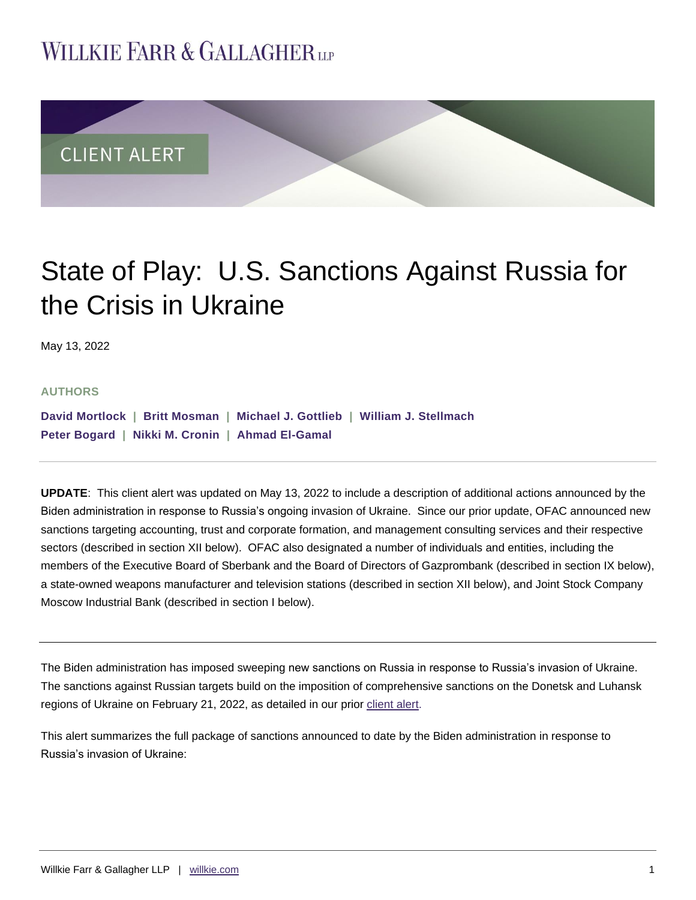# **WILLKIE FARR & GALLAGHERUP**



# State of Play: U.S. Sanctions Against Russia for the Crisis in Ukraine

May 13, 2022

#### **AUTHORS**

**[David Mortlock](https://www.willkie.com/professionals/m/mortlock-david) | [Britt Mosman](https://www.willkie.com/professionals/m/mosman-britt) | [Michael J. Gottlieb](https://www.willkie.com/professionals/g/gottlieb-michael) | [William J. Stellmach](https://www.willkie.com/professionals/s/stellmach-william) [Peter Bogard](https://www.willkie.com/professionals/b/bogard-peter) | [Nikki M. Cronin](https://www.willkie.com/professionals/c/cronin-nikki) | [Ahmad El-Gamal](https://www.willkie.com/professionals/e/el-gamal-ahmad)** 

**UPDATE**: This client alert was updated on May 13, 2022 to include a description of additional actions announced by the Biden administration in response to Russia's ongoing invasion of Ukraine. Since our prior update, OFAC announced new sanctions targeting accounting, trust and corporate formation, and management consulting services and their respective sectors (described in section XII below). OFAC also designated a number of individuals and entities, including the members of the Executive Board of Sberbank and the Board of Directors of Gazprombank (described in section IX below), a state-owned weapons manufacturer and television stations (described in section XII below), and Joint Stock Company Moscow Industrial Bank (described in section I below).

The Biden administration has imposed sweeping new sanctions on Russia in response to Russia's invasion of Ukraine. The sanctions against Russian targets build on the imposition of comprehensive sanctions on the Donetsk and Luhansk regions of Ukraine on February 21, 2022, as detailed in our prior [client alert.](https://www.willkie.com/-/media/files/publications/2022/infirstresponsetorussianinterventioninukrainepresi.pdf)

This alert summarizes the full package of sanctions announced to date by the Biden administration in response to Russia's invasion of Ukraine: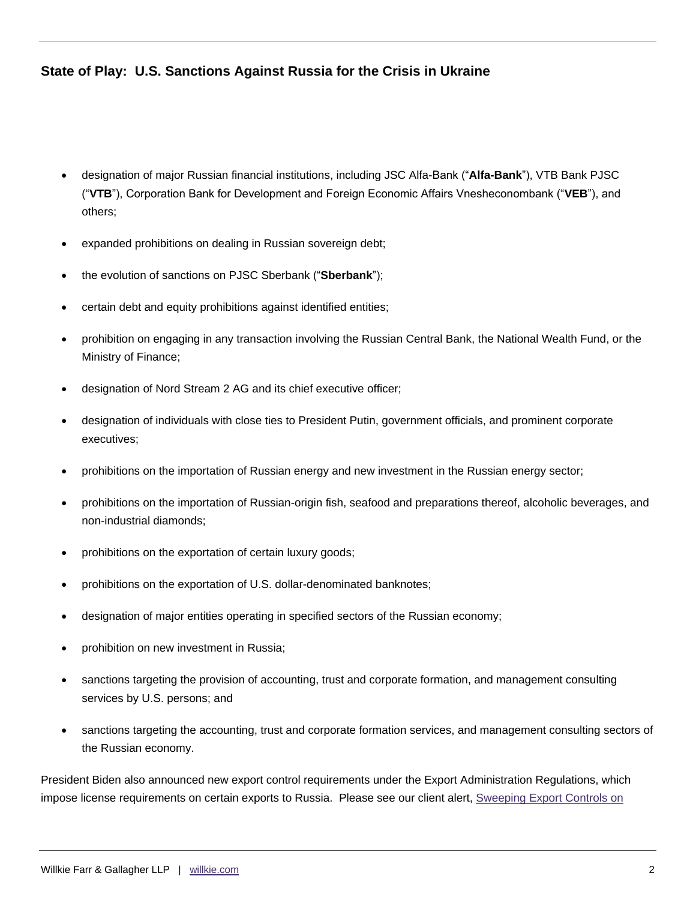- designation of major Russian financial institutions, including JSC Alfa-Bank ("**Alfa-Bank**"), VTB Bank PJSC ("**VTB**"), Corporation Bank for Development and Foreign Economic Affairs Vnesheconombank ("**VEB**"), and others;
- expanded prohibitions on dealing in Russian sovereign debt;
- the evolution of sanctions on PJSC Sberbank ("**Sberbank**");
- certain debt and equity prohibitions against identified entities;
- prohibition on engaging in any transaction involving the Russian Central Bank, the National Wealth Fund, or the Ministry of Finance;
- designation of Nord Stream 2 AG and its chief executive officer;
- designation of individuals with close ties to President Putin, government officials, and prominent corporate executives;
- prohibitions on the importation of Russian energy and new investment in the Russian energy sector;
- prohibitions on the importation of Russian-origin fish, seafood and preparations thereof, alcoholic beverages, and non-industrial diamonds;
- prohibitions on the exportation of certain luxury goods;
- prohibitions on the exportation of U.S. dollar-denominated banknotes;
- designation of major entities operating in specified sectors of the Russian economy;
- prohibition on new investment in Russia;
- sanctions targeting the provision of accounting, trust and corporate formation, and management consulting services by U.S. persons; and
- sanctions targeting the accounting, trust and corporate formation services, and management consulting sectors of the Russian economy.

President Biden also announced new export control requirements under the Export Administration Regulations, which impose license requirements on certain exports to Russia. Please see our client alert, Sweeping Export Controls on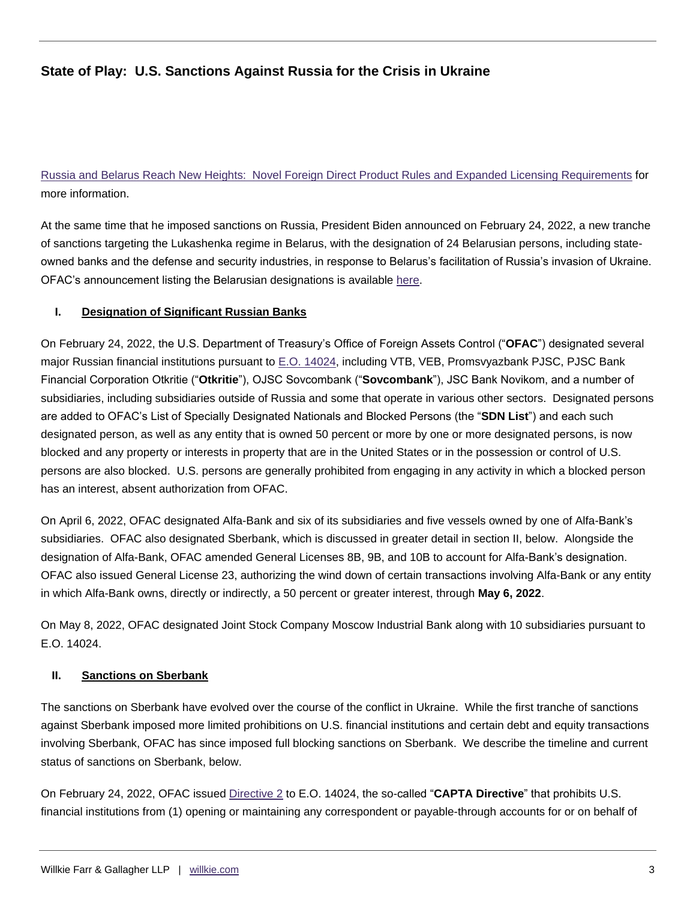[Russia and Belarus Reach New Heights: Novel Foreign Direct Product Rules and Expanded Licensing Requirements](https://www.willkie.com/-/media/files/publications/2022/sweepingexportcontrolsonrussiaandbelarusreachnewhe.pdf) for more information.

At the same time that he imposed sanctions on Russia, President Biden announced on February 24, 2022, a new tranche of sanctions targeting the Lukashenka regime in Belarus, with the designation of 24 Belarusian persons, including stateowned banks and the defense and security industries, in response to Belarus's facilitation of Russia's invasion of Ukraine. OFAC's announcement listing the Belarusian designations is available [here.](https://home.treasury.gov/news/press-releases/jy0607)

#### **I. Designation of Significant Russian Banks**

On February 24, 2022, the U.S. Department of Treasury's Office of Foreign Assets Control ("**OFAC**") designated several major Russian financial institutions pursuant to [E.O. 14024,](https://home.treasury.gov/system/files/126/14024.pdf) including VTB, VEB, Promsvyazbank PJSC, PJSC Bank Financial Corporation Otkritie ("**Otkritie**"), OJSC Sovcombank ("**Sovcombank**"), JSC Bank Novikom, and a number of subsidiaries, including subsidiaries outside of Russia and some that operate in various other sectors. Designated persons are added to OFAC's List of Specially Designated Nationals and Blocked Persons (the "**SDN List**") and each such designated person, as well as any entity that is owned 50 percent or more by one or more designated persons, is now blocked and any property or interests in property that are in the United States or in the possession or control of U.S. persons are also blocked. U.S. persons are generally prohibited from engaging in any activity in which a blocked person has an interest, absent authorization from OFAC.

On April 6, 2022, OFAC designated Alfa-Bank and six of its subsidiaries and five vessels owned by one of Alfa-Bank's subsidiaries. OFAC also designated Sberbank, which is discussed in greater detail in section II, below. Alongside the designation of Alfa-Bank, OFAC amended General Licenses 8B, 9B, and 10B to account for Alfa-Bank's designation. OFAC also issued General License 23, authorizing the wind down of certain transactions involving Alfa-Bank or any entity in which Alfa-Bank owns, directly or indirectly, a 50 percent or greater interest, through **May 6, 2022**.

On May 8, 2022, OFAC designated Joint Stock Company Moscow Industrial Bank along with 10 subsidiaries pursuant to E.O. 14024.

#### **II. Sanctions on Sberbank**

The sanctions on Sberbank have evolved over the course of the conflict in Ukraine. While the first tranche of sanctions against Sberbank imposed more limited prohibitions on U.S. financial institutions and certain debt and equity transactions involving Sberbank, OFAC has since imposed full blocking sanctions on Sberbank. We describe the timeline and current status of sanctions on Sberbank, below.

On February 24, 2022, OFAC issued [Directive 2](https://home.treasury.gov/system/files/126/correspondent_accounts_directive_2.pdf) to E.O. 14024, the so-called "**CAPTA Directive**" that prohibits U.S. financial institutions from (1) opening or maintaining any correspondent or payable-through accounts for or on behalf of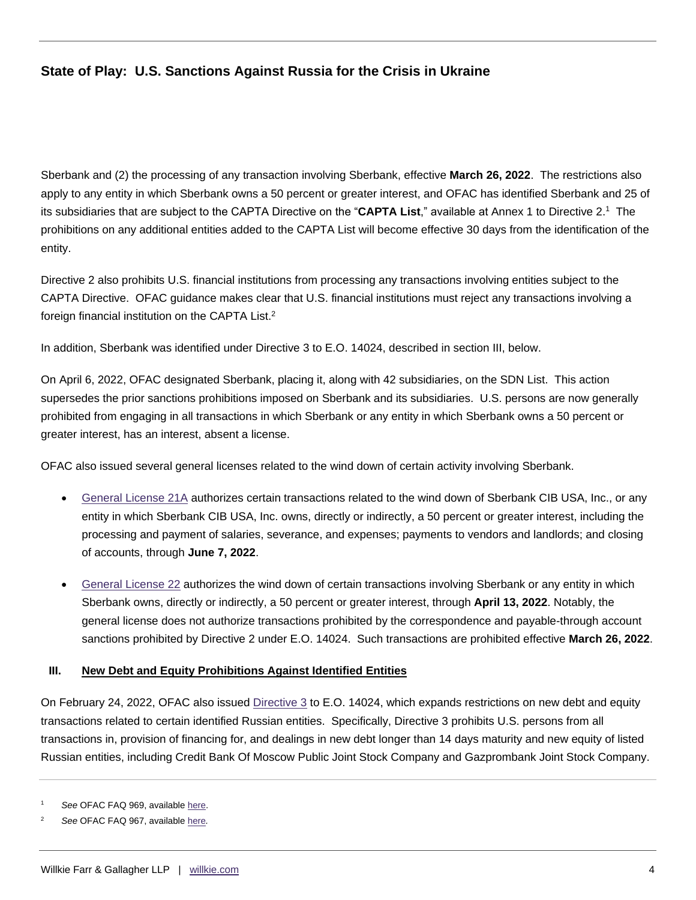Sberbank and (2) the processing of any transaction involving Sberbank, effective **March 26, 2022**. The restrictions also apply to any entity in which Sberbank owns a 50 percent or greater interest, and OFAC has identified Sberbank and 25 of its subsidiaries that are subject to the CAPTA Directive on the "CAPTA List," available at Annex 1 to Directive 2.<sup>1</sup> The prohibitions on any additional entities added to the CAPTA List will become effective 30 days from the identification of the entity.

Directive 2 also prohibits U.S. financial institutions from processing any transactions involving entities subject to the CAPTA Directive. OFAC guidance makes clear that U.S. financial institutions must reject any transactions involving a foreign financial institution on the CAPTA List.<sup>2</sup>

In addition, Sberbank was identified under Directive 3 to E.O. 14024, described in section III, below.

On April 6, 2022, OFAC designated Sberbank, placing it, along with 42 subsidiaries, on the SDN List. This action supersedes the prior sanctions prohibitions imposed on Sberbank and its subsidiaries. U.S. persons are now generally prohibited from engaging in all transactions in which Sberbank or any entity in which Sberbank owns a 50 percent or greater interest, has an interest, absent a license.

OFAC also issued several general licenses related to the wind down of certain activity involving Sberbank.

- [General License 21A](https://home.treasury.gov/system/files/126/russia_gl21a.pdf) authorizes certain transactions related to the wind down of Sberbank CIB USA, Inc., or any entity in which Sberbank CIB USA, Inc. owns, directly or indirectly, a 50 percent or greater interest, including the processing and payment of salaries, severance, and expenses; payments to vendors and landlords; and closing of accounts, through **June 7, 2022**.
- [General License 22](https://home.treasury.gov/system/files/126/russia_gl22.pdf) authorizes the wind down of certain transactions involving Sberbank or any entity in which Sberbank owns, directly or indirectly, a 50 percent or greater interest, through **April 13, 2022**. Notably, the general license does not authorize transactions prohibited by the correspondence and payable-through account sanctions prohibited by Directive 2 under E.O. 14024. Such transactions are prohibited effective **March 26, 2022**.

#### **III. New Debt and Equity Prohibitions Against Identified Entities**

On February 24, 2022, OFAC also issued [Directive 3](https://home.treasury.gov/system/files/126/new_debt_and_equity_directive_3.pdf) to E.O. 14024, which expands restrictions on new debt and equity transactions related to certain identified Russian entities. Specifically, Directive 3 prohibits U.S. persons from all transactions in, provision of financing for, and dealings in new debt longer than 14 days maturity and new equity of listed Russian entities, including Credit Bank Of Moscow Public Joint Stock Company and Gazprombank Joint Stock Company.

See OFAC FAQ 969, available [here.](https://home.treasury.gov/policy-issues/financial-sanctions/faqs/969)

<sup>2</sup> *See* OFAC FAQ 967, available [here](https://home.treasury.gov/policy-issues/financial-sanctions/faqs/967)*.*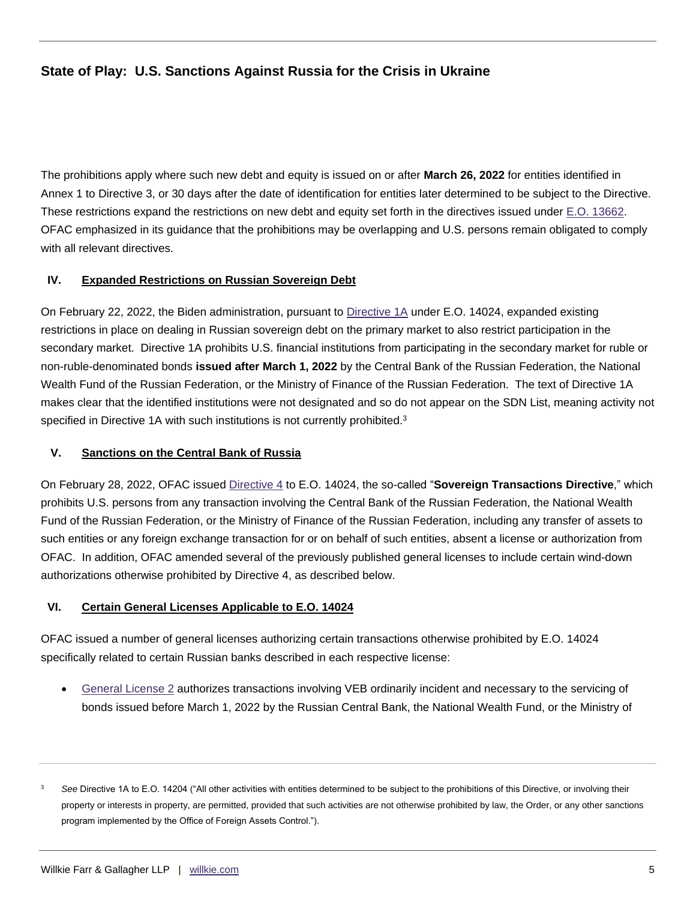The prohibitions apply where such new debt and equity is issued on or after **March 26, 2022** for entities identified in Annex 1 to Directive 3, or 30 days after the date of identification for entities later determined to be subject to the Directive. These restrictions expand the restrictions on new debt and equity set forth in the directives issued under [E.O. 13662.](https://home.treasury.gov/system/files/126/ukraine_eo3.pdf) OFAC emphasized in its guidance that the prohibitions may be overlapping and U.S. persons remain obligated to comply with all relevant directives.

#### **IV. Expanded Restrictions on Russian Sovereign Debt**

On February 22, 2022, the Biden administration, pursuant to [Directive 1A](https://home.treasury.gov/system/files/126/russia_directive_1a.pdf) under E.O. 14024, expanded existing restrictions in place on dealing in Russian sovereign debt on the primary market to also restrict participation in the secondary market. Directive 1A prohibits U.S. financial institutions from participating in the secondary market for ruble or non-ruble-denominated bonds **issued after March 1, 2022** by the Central Bank of the Russian Federation, the National Wealth Fund of the Russian Federation, or the Ministry of Finance of the Russian Federation. The text of Directive 1A makes clear that the identified institutions were not designated and so do not appear on the SDN List, meaning activity not specified in Directive 1A with such institutions is not currently prohibited. $3$ 

#### **V. Sanctions on the Central Bank of Russia**

On February 28, 2022, OFAC issued [Directive 4](https://home.treasury.gov/system/files/126/eo14024_directive_4_02282022.pdf) to E.O. 14024, the so-called "**Sovereign Transactions Directive**," which prohibits U.S. persons from any transaction involving the Central Bank of the Russian Federation, the National Wealth Fund of the Russian Federation, or the Ministry of Finance of the Russian Federation, including any transfer of assets to such entities or any foreign exchange transaction for or on behalf of such entities, absent a license or authorization from OFAC. In addition, OFAC amended several of the previously published general licenses to include certain wind-down authorizations otherwise prohibited by Directive 4, as described below.

#### **VI. Certain General Licenses Applicable to E.O. 14024**

OFAC issued a number of general licenses authorizing certain transactions otherwise prohibited by E.O. 14024 specifically related to certain Russian banks described in each respective license:

 [General License 2](https://home.treasury.gov/system/files/126/russia_gl2.pdf) authorizes transactions involving VEB ordinarily incident and necessary to the servicing of bonds issued before March 1, 2022 by the Russian Central Bank, the National Wealth Fund, or the Ministry of

<sup>&</sup>lt;sup>3</sup> See Directive 1A to E.O. 14204 ("All other activities with entities determined to be subject to the prohibitions of this Directive, or involving their property or interests in property, are permitted, provided that such activities are not otherwise prohibited by law, the Order, or any other sanctions program implemented by the Office of Foreign Assets Control.").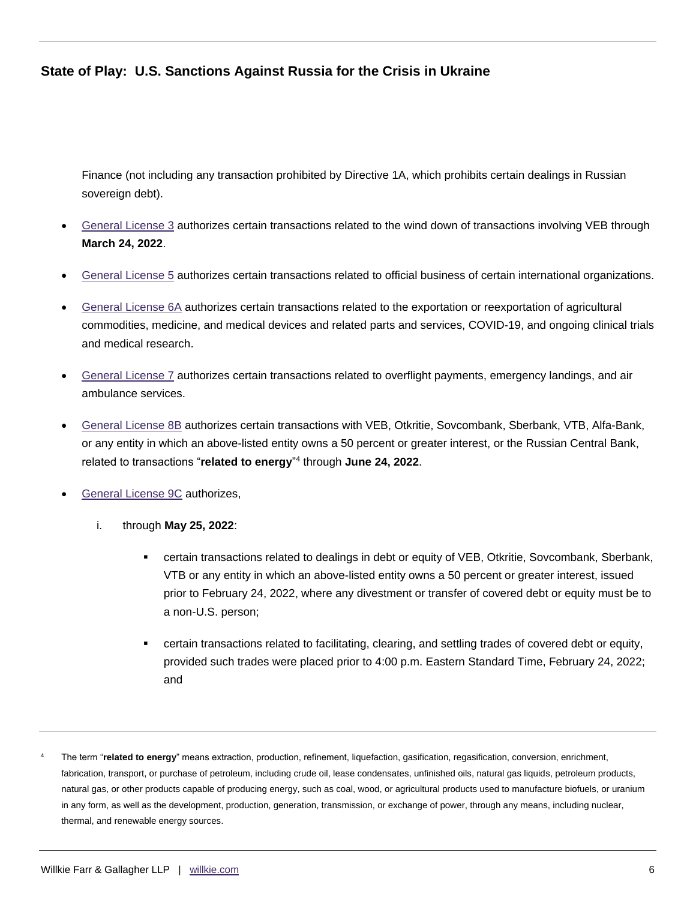Finance (not including any transaction prohibited by Directive 1A, which prohibits certain dealings in Russian sovereign debt).

- [General License 3](https://home.treasury.gov/system/files/126/russia_gl3.pdf) authorizes certain transactions related to the wind down of transactions involving VEB through **March 24, 2022**.
- [General License 5](https://home.treasury.gov/system/files/126/russia_gl5.pdf) authorizes certain transactions related to official business of certain international organizations.
- [General License 6A](https://home.treasury.gov/system/files/126/russia_gl6a.pdf) authorizes certain transactions related to the exportation or reexportation of agricultural commodities, medicine, and medical devices and related parts and services, COVID-19, and ongoing clinical trials and medical research.
- [General License 7](https://home.treasury.gov/system/files/126/russia_gl7.pdf) authorizes certain transactions related to overflight payments, emergency landings, and air ambulance services.
- [General License 8B](https://home.treasury.gov/system/files/126/russia_gl8b.pdf) authorizes certain transactions with VEB, Otkritie, Sovcombank, Sberbank, VTB, Alfa-Bank, or any entity in which an above-listed entity owns a 50 percent or greater interest, or the Russian Central Bank, related to transactions "**related to energy**" 4 through **June 24, 2022**.
- [General License 9C](https://home.treasury.gov/system/files/126/russia_gl9c.pdf) authorizes,
	- i. through **May 25, 2022**:
		- certain transactions related to dealings in debt or equity of VEB, Otkritie, Sovcombank, Sberbank, VTB or any entity in which an above-listed entity owns a 50 percent or greater interest, issued prior to February 24, 2022, where any divestment or transfer of covered debt or equity must be to a non-U.S. person;
		- certain transactions related to facilitating, clearing, and settling trades of covered debt or equity, provided such trades were placed prior to 4:00 p.m. Eastern Standard Time, February 24, 2022; and
- <sup>4</sup> The term "**related to energy**" means extraction, production, refinement, liquefaction, gasification, regasification, conversion, enrichment, fabrication, transport, or purchase of petroleum, including crude oil, lease condensates, unfinished oils, natural gas liquids, petroleum products, natural gas, or other products capable of producing energy, such as coal, wood, or agricultural products used to manufacture biofuels, or uranium in any form, as well as the development, production, generation, transmission, or exchange of power, through any means, including nuclear, thermal, and renewable energy sources.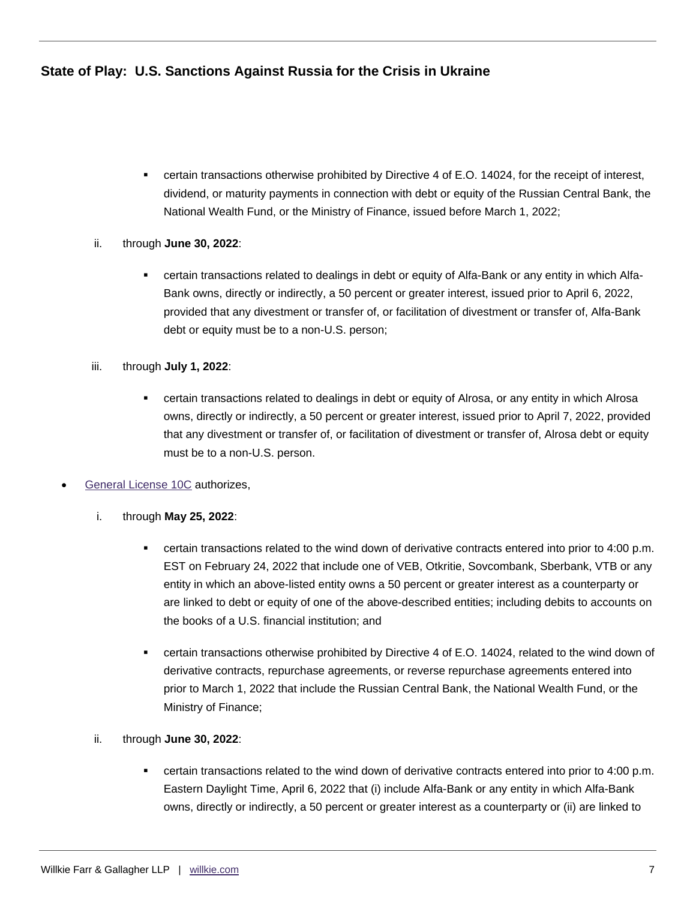- certain transactions otherwise prohibited by Directive 4 of E.O. 14024, for the receipt of interest, dividend, or maturity payments in connection with debt or equity of the Russian Central Bank, the National Wealth Fund, or the Ministry of Finance, issued before March 1, 2022;
- ii. through **June 30, 2022**:
	- certain transactions related to dealings in debt or equity of Alfa-Bank or any entity in which Alfa-Bank owns, directly or indirectly, a 50 percent or greater interest, issued prior to April 6, 2022, provided that any divestment or transfer of, or facilitation of divestment or transfer of, Alfa-Bank debt or equity must be to a non-U.S. person;
- iii. through **July 1, 2022**:
	- certain transactions related to dealings in debt or equity of Alrosa, or any entity in which Alrosa owns, directly or indirectly, a 50 percent or greater interest, issued prior to April 7, 2022, provided that any divestment or transfer of, or facilitation of divestment or transfer of, Alrosa debt or equity must be to a non-U.S. person.
- [General License 10C](https://home.treasury.gov/system/files/126/russia_gl10c.pdf) authorizes,
	- i. through **May 25, 2022**:
		- certain transactions related to the wind down of derivative contracts entered into prior to 4:00 p.m. EST on February 24, 2022 that include one of VEB, Otkritie, Sovcombank, Sberbank, VTB or any entity in which an above-listed entity owns a 50 percent or greater interest as a counterparty or are linked to debt or equity of one of the above-described entities; including debits to accounts on the books of a U.S. financial institution; and
		- certain transactions otherwise prohibited by Directive 4 of E.O. 14024, related to the wind down of derivative contracts, repurchase agreements, or reverse repurchase agreements entered into prior to March 1, 2022 that include the Russian Central Bank, the National Wealth Fund, or the Ministry of Finance;
	- ii. through **June 30, 2022**:
		- certain transactions related to the wind down of derivative contracts entered into prior to 4:00 p.m. Eastern Daylight Time, April 6, 2022 that (i) include Alfa-Bank or any entity in which Alfa-Bank owns, directly or indirectly, a 50 percent or greater interest as a counterparty or (ii) are linked to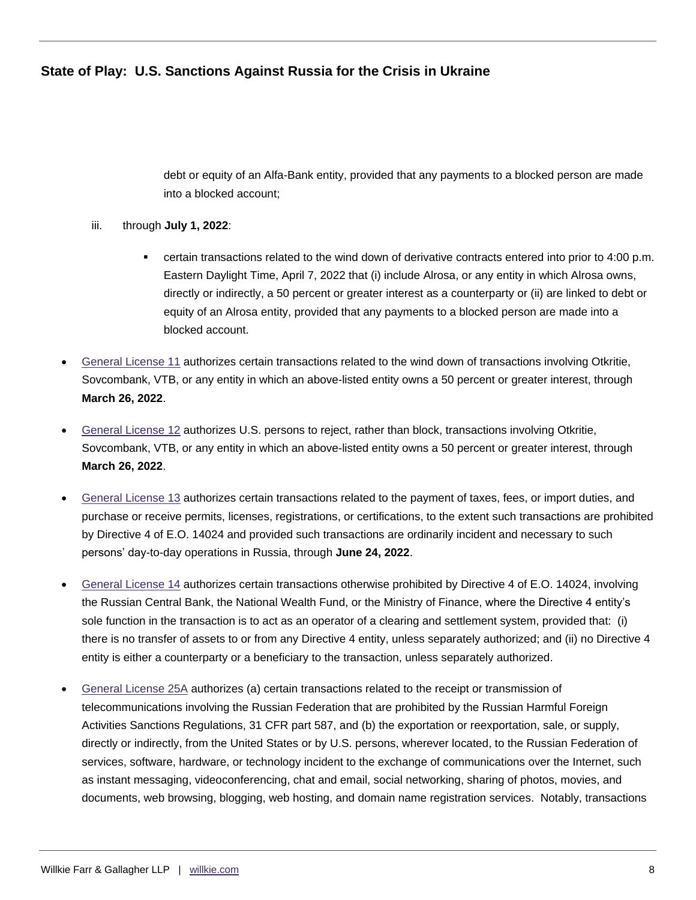debt or equity of an Alfa-Bank entity, provided that any payments to a blocked person are made into a blocked account;

#### iii. through **July 1, 2022**:

- certain transactions related to the wind down of derivative contracts entered into prior to 4:00 p.m. Eastern Daylight Time, April 7, 2022 that (i) include Alrosa, or any entity in which Alrosa owns, directly or indirectly, a 50 percent or greater interest as a counterparty or (ii) are linked to debt or equity of an Alrosa entity, provided that any payments to a blocked person are made into a blocked account.
- [General License 11](https://home.treasury.gov/system/files/126/russia_gl11.pdf) authorizes certain transactions related to the wind down of transactions involving Otkritie, Sovcombank, VTB, or any entity in which an above-listed entity owns a 50 percent or greater interest, through **March 26, 2022**.
- [General License 12](https://home.treasury.gov/system/files/126/russia_gl12.pdf) authorizes U.S. persons to reject, rather than block, transactions involving Otkritie, Sovcombank, VTB, or any entity in which an above-listed entity owns a 50 percent or greater interest, through **March 26, 2022**.
- [General License 13](https://home.treasury.gov/system/files/126/russia_gl13.pdf) authorizes certain transactions related to the payment of taxes, fees, or import duties, and purchase or receive permits, licenses, registrations, or certifications, to the extent such transactions are prohibited by Directive 4 of E.O. 14024 and provided such transactions are ordinarily incident and necessary to such persons' day-to-day operations in Russia, through **June 24, 2022**.
- [General License 14](https://home.treasury.gov/system/files/126/russia_gl14.pdf) authorizes certain transactions otherwise prohibited by Directive 4 of E.O. 14024, involving the Russian Central Bank, the National Wealth Fund, or the Ministry of Finance, where the Directive 4 entity's sole function in the transaction is to act as an operator of a clearing and settlement system, provided that: (i) there is no transfer of assets to or from any Directive 4 entity, unless separately authorized; and (ii) no Directive 4 entity is either a counterparty or a beneficiary to the transaction, unless separately authorized.
- [General License 25A](https://home.treasury.gov/system/files/126/russia_gl25a.pdf) authorizes (a) certain transactions related to the receipt or transmission of telecommunications involving the Russian Federation that are prohibited by the Russian Harmful Foreign Activities Sanctions Regulations, 31 CFR part 587, and (b) the exportation or reexportation, sale, or supply, directly or indirectly, from the United States or by U.S. persons, wherever located, to the Russian Federation of services, software, hardware, or technology incident to the exchange of communications over the Internet, such as instant messaging, videoconferencing, chat and email, social networking, sharing of photos, movies, and documents, web browsing, blogging, web hosting, and domain name registration services. Notably, transactions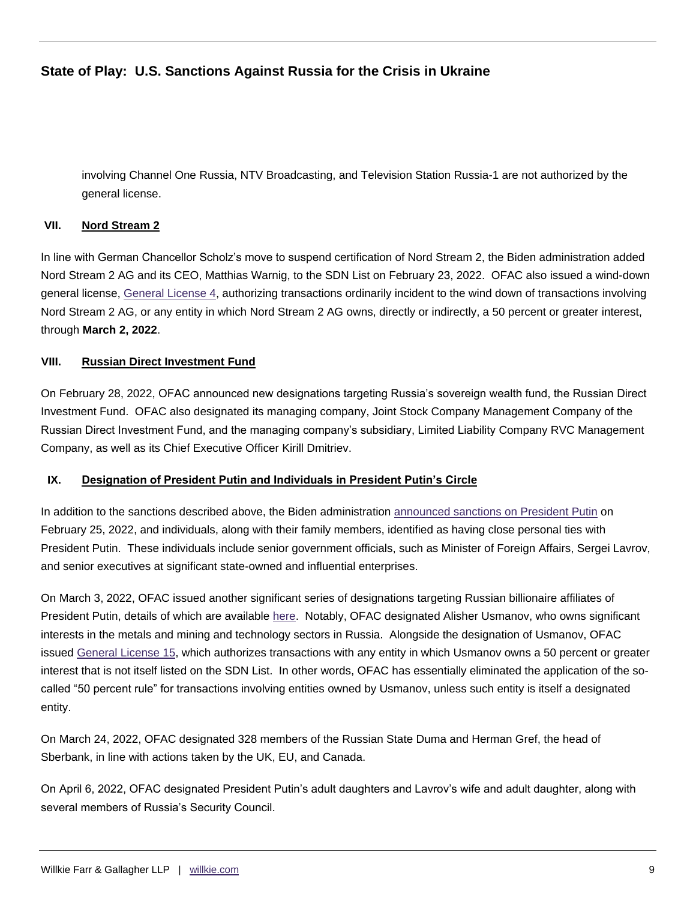involving Channel One Russia, NTV Broadcasting, and Television Station Russia-1 are not authorized by the general license.

#### **VII. Nord Stream 2**

In line with German Chancellor Scholz's move to suspend certification of Nord Stream 2, the Biden administration added Nord Stream 2 AG and its CEO, Matthias Warnig, to the SDN List on February 23, 2022. OFAC also issued a wind-down general license, [General License 4,](https://home.treasury.gov/system/files/126/peesa_gl4.pdf) authorizing transactions ordinarily incident to the wind down of transactions involving Nord Stream 2 AG, or any entity in which Nord Stream 2 AG owns, directly or indirectly, a 50 percent or greater interest, through **March 2, 2022**.

#### **VIII. Russian Direct Investment Fund**

On February 28, 2022, OFAC announced new designations targeting Russia's sovereign wealth fund, the Russian Direct Investment Fund. OFAC also designated its managing company, Joint Stock Company Management Company of the Russian Direct Investment Fund, and the managing company's subsidiary, Limited Liability Company RVC Management Company, as well as its Chief Executive Officer Kirill Dmitriev.

#### **IX. Designation of President Putin and Individuals in President Putin's Circle**

In addition to the sanctions described above, the Biden administration [announced sanctions on President Putin](https://home.treasury.gov/news/press-releases/jy0610) on February 25, 2022, and individuals, along with their family members, identified as having close personal ties with President Putin. These individuals include senior government officials, such as Minister of Foreign Affairs, Sergei Lavrov, and senior executives at significant state-owned and influential enterprises.

On March 3, 2022, OFAC issued another significant series of designations targeting Russian billionaire affiliates of President Putin, details of which are available [here.](https://home.treasury.gov/news/press-releases/jy0628) Notably, OFAC designated Alisher Usmanov, who owns significant interests in the metals and mining and technology sectors in Russia. Alongside the designation of Usmanov, OFAC issued [General License 15,](https://home.treasury.gov/system/files/126/russia_gl15.pdf) which authorizes transactions with any entity in which Usmanov owns a 50 percent or greater interest that is not itself listed on the SDN List. In other words, OFAC has essentially eliminated the application of the socalled "50 percent rule" for transactions involving entities owned by Usmanov, unless such entity is itself a designated entity.

On March 24, 2022, OFAC designated 328 members of the Russian State Duma and Herman Gref, the head of Sberbank, in line with actions taken by the UK, EU, and Canada.

On April 6, 2022, OFAC designated President Putin's adult daughters and Lavrov's wife and adult daughter, along with several members of Russia's Security Council.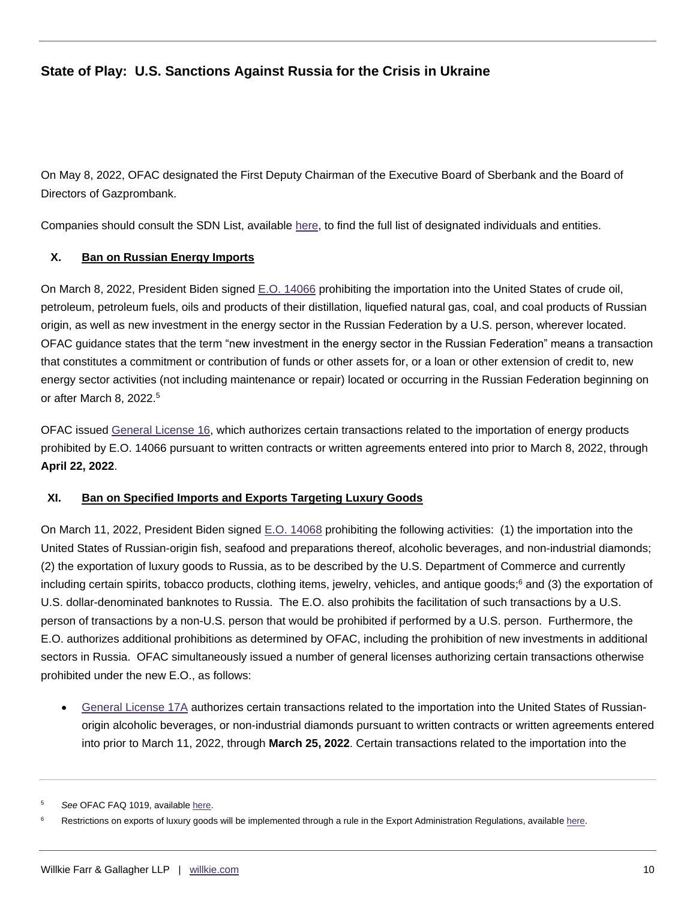On May 8, 2022, OFAC designated the First Deputy Chairman of the Executive Board of Sberbank and the Board of Directors of Gazprombank.

Companies should consult the SDN List, available [here,](https://sanctionssearch.ofac.treas.gov/) to find the full list of designated individuals and entities.

#### **X. Ban on Russian Energy Imports**

On March 8, 2022, President Biden signed [E.O. 14066](https://home.treasury.gov/system/files/126/eo_14066.pdf) prohibiting the importation into the United States of crude oil, petroleum, petroleum fuels, oils and products of their distillation, liquefied natural gas, coal, and coal products of Russian origin, as well as new investment in the energy sector in the Russian Federation by a U.S. person, wherever located. OFAC guidance states that the term "new investment in the energy sector in the Russian Federation" means a transaction that constitutes a commitment or contribution of funds or other assets for, or a loan or other extension of credit to, new energy sector activities (not including maintenance or repair) located or occurring in the Russian Federation beginning on or after March 8, 2022.<sup>5</sup>

OFAC issued [General License 16,](https://home.treasury.gov/system/files/126/russia_gl16.pdf) which authorizes certain transactions related to the importation of energy products prohibited by E.O. 14066 pursuant to written contracts or written agreements entered into prior to March 8, 2022, through **April 22, 2022**.

#### **XI. Ban on Specified Imports and Exports Targeting Luxury Goods**

On March 11, 2022, President Biden signed [E.O. 14068](https://home.treasury.gov/system/files/126/14068.pdf) prohibiting the following activities: (1) the importation into the United States of Russian-origin fish, seafood and preparations thereof, alcoholic beverages, and non-industrial diamonds; (2) the exportation of luxury goods to Russia, as to be described by the U.S. Department of Commerce and currently including certain spirits, tobacco products, clothing items, jewelry, vehicles, and antique goods; <sup>6</sup> and (3) the exportation of U.S. dollar-denominated banknotes to Russia. The E.O. also prohibits the facilitation of such transactions by a U.S. person of transactions by a non-U.S. person that would be prohibited if performed by a U.S. person. Furthermore, the E.O. authorizes additional prohibitions as determined by OFAC, including the prohibition of new investments in additional sectors in Russia. OFAC simultaneously issued a number of general licenses authorizing certain transactions otherwise prohibited under the new E.O., as follows:

 [General License 17A](https://home.treasury.gov/system/files/126/russia_gl17a.pdf) authorizes certain transactions related to the importation into the United States of Russianorigin alcoholic beverages, or non-industrial diamonds pursuant to written contracts or written agreements entered into prior to March 11, 2022, through **March 25, 2022**. Certain transactions related to the importation into the

See OFAC FAQ 1019, availabl[e here.](https://home.treasury.gov/policy-issues/financial-sanctions/faqs/topic/6626)

Restrictions on exports of luxury goods will be implemented through a rule in the Export Administration Regulations, availabl[e here.](https://public-inspection.federalregister.gov/2022-05604.pdf)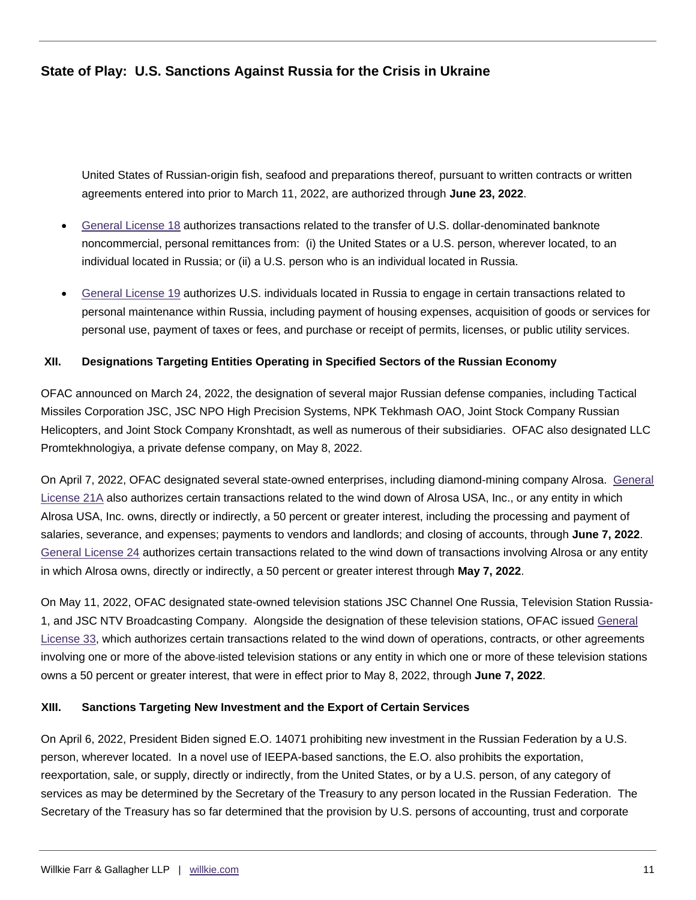United States of Russian-origin fish, seafood and preparations thereof, pursuant to written contracts or written agreements entered into prior to March 11, 2022, are authorized through **June 23, 2022**.

- [General License 18](https://home.treasury.gov/system/files/126/russia_gl18.pdf) authorizes transactions related to the transfer of U.S. dollar-denominated banknote noncommercial, personal remittances from: (i) the United States or a U.S. person, wherever located, to an individual located in Russia; or (ii) a U.S. person who is an individual located in Russia.
- [General License 19](https://home.treasury.gov/system/files/126/russia_gl19.pdf) authorizes U.S. individuals located in Russia to engage in certain transactions related to personal maintenance within Russia, including payment of housing expenses, acquisition of goods or services for personal use, payment of taxes or fees, and purchase or receipt of permits, licenses, or public utility services.

#### **XII. Designations Targeting Entities Operating in Specified Sectors of the Russian Economy**

OFAC announced on March 24, 2022, the designation of several major Russian defense companies, including Tactical Missiles Corporation JSC, JSC NPO High Precision Systems, NPK Tekhmash OAO, Joint Stock Company Russian Helicopters, and Joint Stock Company Kronshtadt, as well as numerous of their subsidiaries. OFAC also designated LLC Promtekhnologiya, a private defense company, on May 8, 2022.

On April 7, 2022, OFAC designated several state-owned enterprises, including diamond-mining company Alrosa. [General](https://home.treasury.gov/system/files/126/russia_gl21a.pdf)  [License 21A](https://home.treasury.gov/system/files/126/russia_gl21a.pdf) also authorizes certain transactions related to the wind down of Alrosa USA, Inc., or any entity in which Alrosa USA, Inc. owns, directly or indirectly, a 50 percent or greater interest, including the processing and payment of salaries, severance, and expenses; payments to vendors and landlords; and closing of accounts, through **June 7, 2022**. [General License 24](https://home.treasury.gov/system/files/126/russia_gl24.pdf) authorizes certain transactions related to the wind down of transactions involving Alrosa or any entity in which Alrosa owns, directly or indirectly, a 50 percent or greater interest through **May 7, 2022**.

On May 11, 2022, OFAC designated state-owned television stations JSC Channel One Russia, Television Station Russia-1, and JSC NTV Broadcasting Company. Alongside the designation of these television stations, OFAC issued [General](https://home.treasury.gov/system/files/126/russia_gl33.pdf)  [License 33,](https://home.treasury.gov/system/files/126/russia_gl33.pdf) which authorizes certain transactions related to the wind down of operations, contracts, or other agreements involving one or more of the above-listed television stations or any entity in which one or more of these television stations owns a 50 percent or greater interest, that were in effect prior to May 8, 2022, through **June 7, 2022**.

#### **XIII. Sanctions Targeting New Investment and the Export of Certain Services**

On April 6, 2022, President Biden signed E.O. 14071 prohibiting new investment in the Russian Federation by a U.S. person, wherever located. In a novel use of IEEPA-based sanctions, the E.O. also prohibits the exportation, reexportation, sale, or supply, directly or indirectly, from the United States, or by a U.S. person, of any category of services as may be determined by the Secretary of the Treasury to any person located in the Russian Federation. The Secretary of the Treasury has so far determined that the provision by U.S. persons of accounting, trust and corporate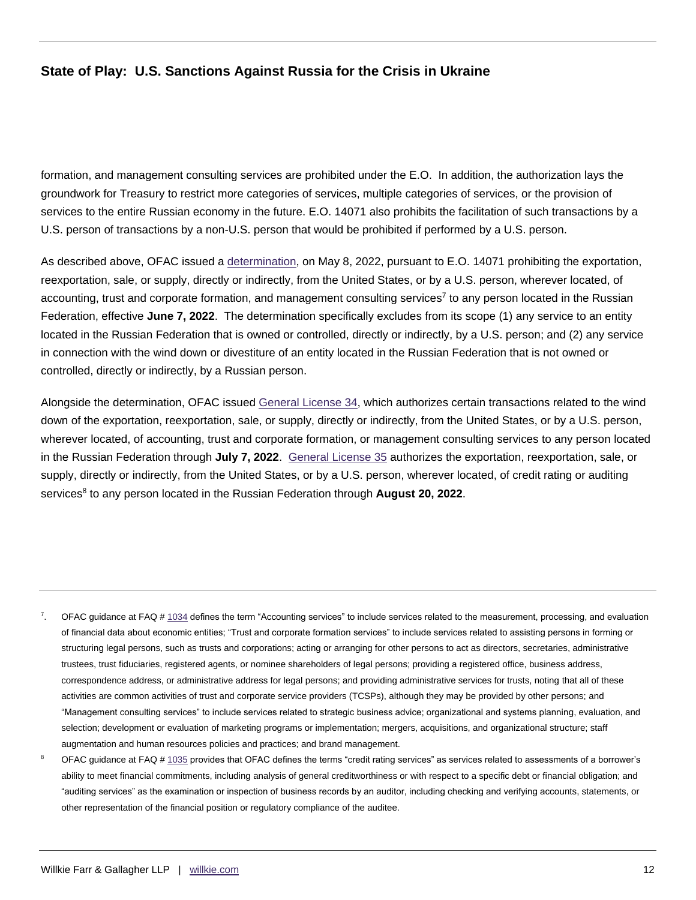formation, and management consulting services are prohibited under the E.O. In addition, the authorization lays the groundwork for Treasury to restrict more categories of services, multiple categories of services, or the provision of services to the entire Russian economy in the future. E.O. 14071 also prohibits the facilitation of such transactions by a U.S. person of transactions by a non-U.S. person that would be prohibited if performed by a U.S. person.

As described above, OFAC issued a [determination,](https://home.treasury.gov/system/files/126/determination_05082022_eo14071.pdf) on May 8, 2022, pursuant to E.O. 14071 prohibiting the exportation, reexportation, sale, or supply, directly or indirectly, from the United States, or by a U.S. person, wherever located, of accounting, trust and corporate formation, and management consulting services<sup>7</sup> to any person located in the Russian Federation, effective **June 7, 2022**. The determination specifically excludes from its scope (1) any service to an entity located in the Russian Federation that is owned or controlled, directly or indirectly, by a U.S. person; and (2) any service in connection with the wind down or divestiture of an entity located in the Russian Federation that is not owned or controlled, directly or indirectly, by a Russian person.

Alongside the determination, OFAC issued [General License 34,](https://home.treasury.gov/system/files/126/russia_gl34.pdf) which authorizes certain transactions related to the wind down of the exportation, reexportation, sale, or supply, directly or indirectly, from the United States, or by a U.S. person, wherever located, of accounting, trust and corporate formation, or management consulting services to any person located in the Russian Federation through **July 7, 2022**. [General License 35](https://home.treasury.gov/system/files/126/russia_gl35.pdf) authorizes the exportation, reexportation, sale, or supply, directly or indirectly, from the United States, or by a U.S. person, wherever located, of credit rating or auditing services<sup>8</sup> to any person located in the Russian Federation through August 20, 2022.

- <sup>7</sup>. OFAC guidance at FAQ [# 1034](https://home.treasury.gov/policy-issues/financial-sanctions/faqs/1034) defines the term "Accounting services" to include services related to the measurement, processing, and evaluation of financial data about economic entities; "Trust and corporate formation services" to include services related to assisting persons in forming or structuring legal persons, such as trusts and corporations; acting or arranging for other persons to act as directors, secretaries, administrative trustees, trust fiduciaries, registered agents, or nominee shareholders of legal persons; providing a registered office, business address, correspondence address, or administrative address for legal persons; and providing administrative services for trusts, noting that all of these activities are common activities of trust and corporate service providers (TCSPs), although they may be provided by other persons; and "Management consulting services" to include services related to strategic business advice; organizational and systems planning, evaluation, and selection; development or evaluation of marketing programs or implementation; mergers, acquisitions, and organizational structure; staff augmentation and human resources policies and practices; and brand management.
- OFAC guidance at FAQ [# 1035](https://home.treasury.gov/policy-issues/financial-sanctions/faqs/1035) provides that OFAC defines the terms "credit rating services" as services related to assessments of a borrower's ability to meet financial commitments, including analysis of general creditworthiness or with respect to a specific debt or financial obligation; and "auditing services" as the examination or inspection of business records by an auditor, including checking and verifying accounts, statements, or other representation of the financial position or regulatory compliance of the auditee.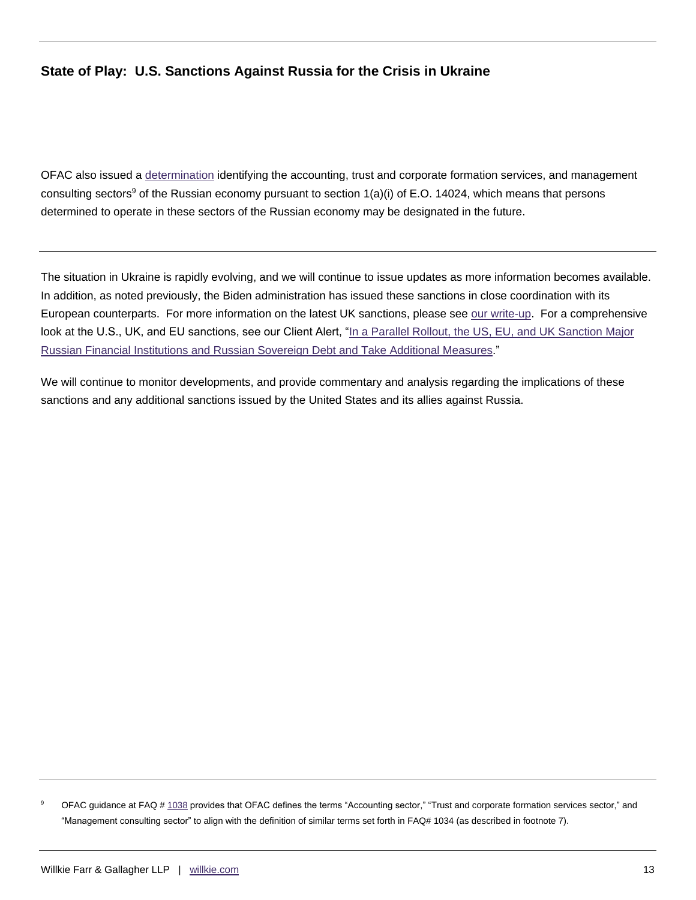OFAC also issued a [determination](https://home.treasury.gov/system/files/126/determination_05082022_eo14024.pdf) identifying the accounting, trust and corporate formation services, and management consulting sectors<sup>9</sup> of the Russian economy pursuant to section  $1(a)(i)$  of E.O. 14024, which means that persons determined to operate in these sectors of the Russian economy may be designated in the future.

The situation in Ukraine is rapidly evolving, and we will continue to issue updates as more information becomes available. In addition, as noted previously, the Biden administration has issued these sanctions in close coordination with its European counterparts. For more information on the latest UK sanctions, please see [our write-up.](https://communications.willkie.com/110/1590/uploads-(icalendars-pdf-documents)/uk-issues-first-tranche-of-russian-sanctions.pdf) For a comprehensive look at the U.S., UK, and EU sanctions, see our Client Alert, "In a Parallel Rollout, the US, EU, and UK Sanction Major Russian Financial [Institutions and Russian Sovereign Debt and Take Additional Measures.](https://www.willkie.com/-/media/files/publications/2022/inaparallelrollouttheuseuanduksanctionmajorrussian.pdf)"

We will continue to monitor developments, and provide commentary and analysis regarding the implications of these sanctions and any additional sanctions issued by the United States and its allies against Russia.

<sup>9</sup> OFAC guidance at FAQ [# 1038](https://home.treasury.gov/policy-issues/financial-sanctions/faqs/1038) provides that OFAC defines the terms "Accounting sector," "Trust and corporate formation services sector," and "Management consulting sector" to align with the definition of similar terms set forth in FAQ# 1034 (as described in footnote 7).